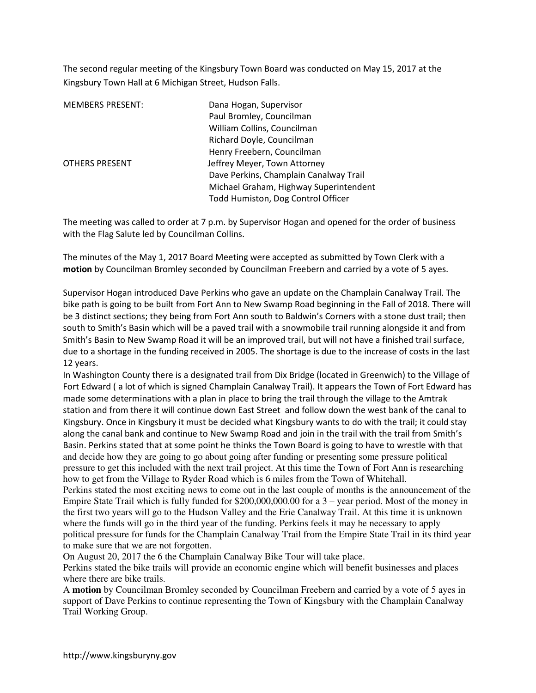The second regular meeting of the Kingsbury Town Board was conducted on May 15, 2017 at the Kingsbury Town Hall at 6 Michigan Street, Hudson Falls.

| <b>MEMBERS PRESENT:</b> | Dana Hogan, Supervisor                 |
|-------------------------|----------------------------------------|
|                         | Paul Bromley, Councilman               |
|                         | William Collins, Councilman            |
|                         | Richard Doyle, Councilman              |
|                         | Henry Freebern, Councilman             |
| <b>OTHERS PRESENT</b>   | Jeffrey Meyer, Town Attorney           |
|                         | Dave Perkins, Champlain Canalway Trail |
|                         | Michael Graham, Highway Superintendent |
|                         | Todd Humiston, Dog Control Officer     |

The meeting was called to order at 7 p.m. by Supervisor Hogan and opened for the order of business with the Flag Salute led by Councilman Collins.

The minutes of the May 1, 2017 Board Meeting were accepted as submitted by Town Clerk with a **motion** by Councilman Bromley seconded by Councilman Freebern and carried by a vote of 5 ayes.

Supervisor Hogan introduced Dave Perkins who gave an update on the Champlain Canalway Trail. The bike path is going to be built from Fort Ann to New Swamp Road beginning in the Fall of 2018. There will be 3 distinct sections; they being from Fort Ann south to Baldwin's Corners with a stone dust trail; then south to Smith's Basin which will be a paved trail with a snowmobile trail running alongside it and from Smith's Basin to New Swamp Road it will be an improved trail, but will not have a finished trail surface, due to a shortage in the funding received in 2005. The shortage is due to the increase of costs in the last 12 years.

In Washington County there is a designated trail from Dix Bridge (located in Greenwich) to the Village of Fort Edward ( a lot of which is signed Champlain Canalway Trail). It appears the Town of Fort Edward has made some determinations with a plan in place to bring the trail through the village to the Amtrak station and from there it will continue down East Street and follow down the west bank of the canal to Kingsbury. Once in Kingsbury it must be decided what Kingsbury wants to do with the trail; it could stay along the canal bank and continue to New Swamp Road and join in the trail with the trail from Smith's Basin. Perkins stated that at some point he thinks the Town Board is going to have to wrestle with that and decide how they are going to go about going after funding or presenting some pressure political pressure to get this included with the next trail project. At this time the Town of Fort Ann is researching how to get from the Village to Ryder Road which is 6 miles from the Town of Whitehall.

Perkins stated the most exciting news to come out in the last couple of months is the announcement of the Empire State Trail which is fully funded for \$200,000,000.00 for a 3 – year period. Most of the money in the first two years will go to the Hudson Valley and the Erie Canalway Trail. At this time it is unknown where the funds will go in the third year of the funding. Perkins feels it may be necessary to apply political pressure for funds for the Champlain Canalway Trail from the Empire State Trail in its third year to make sure that we are not forgotten.

On August 20, 2017 the 6 the Champlain Canalway Bike Tour will take place.

Perkins stated the bike trails will provide an economic engine which will benefit businesses and places where there are bike trails.

A **motion** by Councilman Bromley seconded by Councilman Freebern and carried by a vote of 5 ayes in support of Dave Perkins to continue representing the Town of Kingsbury with the Champlain Canalway Trail Working Group.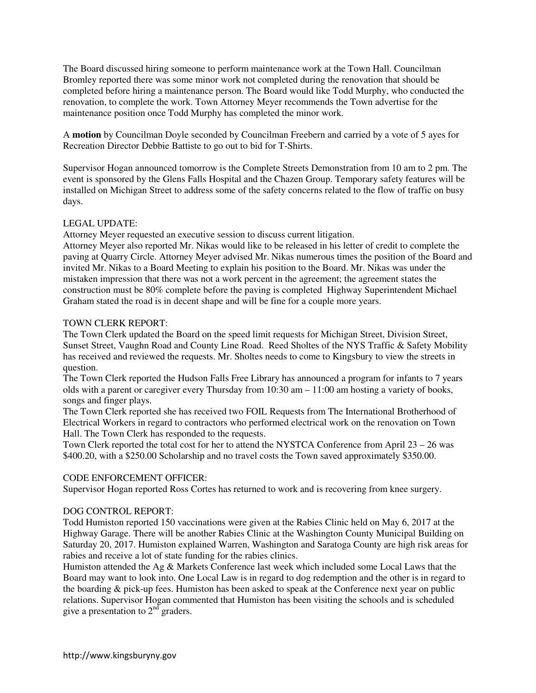The Board discussed hiring someone to perform maintenance work at the Town Hall. Councilman Bromley reported there was some minor work not completed during the renovation that should be completed before hiring a maintenance person. The Board would like Todd Murphy, who conducted the renovation, to complete the work. Town Attorney Meyer recommends the Town advertise for the maintenance position once Todd Murphy has completed the minor work.

A **motion** by Councilman Doyle seconded by Councilman Freebern and carried by a vote of 5 ayes for Recreation Director Debbie Battiste to go out to bid for T-Shirts.

Supervisor Hogan announced tomorrow is the Complete Streets Demonstration from 10 am to 2 pm. The event is sponsored by the Glens Falls Hospital and the Chazen Group. Temporary safety features will be installed on Michigan Street to address some of the safety concerns related to the flow of traffic on busy days.

# LEGAL UPDATE:

Attorney Meyer requested an executive session to discuss current litigation.

Attorney Meyer also reported Mr. Nikas would like to be released in his letter of credit to complete the paving at Quarry Circle. Attorney Meyer advised Mr. Nikas numerous times the position of the Board and invited Mr. Nikas to a Board Meeting to explain his position to the Board. Mr. Nikas was under the mistaken impression that there was not a work percent in the agreement; the agreement states the construction must be 80% complete before the paving is completed Highway Superintendent Michael Graham stated the road is in decent shape and will be fine for a couple more years.

## TOWN CLERK REPORT:

The Town Clerk updated the Board on the speed limit requests for Michigan Street, Division Street, Sunset Street, Vaughn Road and County Line Road. Reed Sholtes of the NYS Traffic & Safety Mobility has received and reviewed the requests. Mr. Sholtes needs to come to Kingsbury to view the streets in question.

The Town Clerk reported the Hudson Falls Free Library has announced a program for infants to 7 years olds with a parent or caregiver every Thursday from 10:30 am – 11:00 am hosting a variety of books, songs and finger plays.

The Town Clerk reported she has received two FOIL Requests from The International Brotherhood of Electrical Workers in regard to contractors who performed electrical work on the renovation on Town Hall. The Town Clerk has responded to the requests.

Town Clerk reported the total cost for her to attend the NYSTCA Conference from April 23 – 26 was \$400.20, with a \$250.00 Scholarship and no travel costs the Town saved approximately \$350.00.

### CODE ENFORCEMENT OFFICER:

Supervisor Hogan reported Ross Cortes has returned to work and is recovering from knee surgery.

### DOG CONTROL REPORT:

Todd Humiston reported 150 vaccinations were given at the Rabies Clinic held on May 6, 2017 at the Highway Garage. There will be another Rabies Clinic at the Washington County Municipal Building on Saturday 20, 2017. Humiston explained Warren, Washington and Saratoga County are high risk areas for rabies and receive a lot of state funding for the rabies clinics.

Humiston attended the Ag & Markets Conference last week which included some Local Laws that the Board may want to look into. One Local Law is in regard to dog redemption and the other is in regard to the boarding & pick-up fees. Humiston has been asked to speak at the Conference next year on public relations. Supervisor Hogan commented that Humiston has been visiting the schools and is scheduled give a presentation to  $2<sup>nd</sup>$  graders.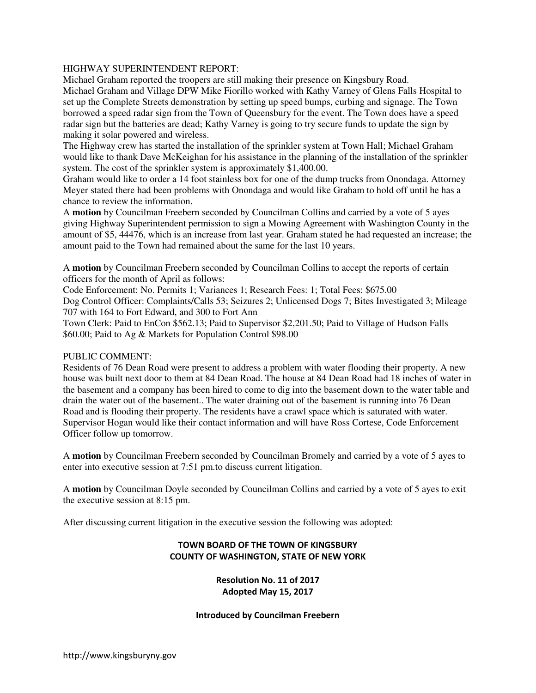#### HIGHWAY SUPERINTENDENT REPORT:

Michael Graham reported the troopers are still making their presence on Kingsbury Road. Michael Graham and Village DPW Mike Fiorillo worked with Kathy Varney of Glens Falls Hospital to set up the Complete Streets demonstration by setting up speed bumps, curbing and signage. The Town borrowed a speed radar sign from the Town of Queensbury for the event. The Town does have a speed radar sign but the batteries are dead; Kathy Varney is going to try secure funds to update the sign by making it solar powered and wireless.

The Highway crew has started the installation of the sprinkler system at Town Hall; Michael Graham would like to thank Dave McKeighan for his assistance in the planning of the installation of the sprinkler system. The cost of the sprinkler system is approximately \$1,400.00.

Graham would like to order a 14 foot stainless box for one of the dump trucks from Onondaga. Attorney Meyer stated there had been problems with Onondaga and would like Graham to hold off until he has a chance to review the information.

A **motion** by Councilman Freebern seconded by Councilman Collins and carried by a vote of 5 ayes giving Highway Superintendent permission to sign a Mowing Agreement with Washington County in the amount of \$5, 44476, which is an increase from last year. Graham stated he had requested an increase; the amount paid to the Town had remained about the same for the last 10 years.

A **motion** by Councilman Freebern seconded by Councilman Collins to accept the reports of certain officers for the month of April as follows:

Code Enforcement: No. Permits 1; Variances 1; Research Fees: 1; Total Fees: \$675.00 Dog Control Officer: Complaints/Calls 53; Seizures 2; Unlicensed Dogs 7; Bites Investigated 3; Mileage 707 with 164 to Fort Edward, and 300 to Fort Ann

Town Clerk: Paid to EnCon \$562.13; Paid to Supervisor \$2,201.50; Paid to Village of Hudson Falls \$60.00; Paid to Ag & Markets for Population Control \$98.00

### PUBLIC COMMENT:

Residents of 76 Dean Road were present to address a problem with water flooding their property. A new house was built next door to them at 84 Dean Road. The house at 84 Dean Road had 18 inches of water in the basement and a company has been hired to come to dig into the basement down to the water table and drain the water out of the basement.. The water draining out of the basement is running into 76 Dean Road and is flooding their property. The residents have a crawl space which is saturated with water. Supervisor Hogan would like their contact information and will have Ross Cortese, Code Enforcement Officer follow up tomorrow.

A **motion** by Councilman Freebern seconded by Councilman Bromely and carried by a vote of 5 ayes to enter into executive session at 7:51 pm.to discuss current litigation.

A **motion** by Councilman Doyle seconded by Councilman Collins and carried by a vote of 5 ayes to exit the executive session at 8:15 pm.

After discussing current litigation in the executive session the following was adopted:

## **TOWN BOARD OF THE TOWN OF KINGSBURY COUNTY OF WASHINGTON, STATE OF NEW YORK**

**Resolution No. 11 of 2017 Adopted May 15, 2017** 

#### **Introduced by Councilman Freebern**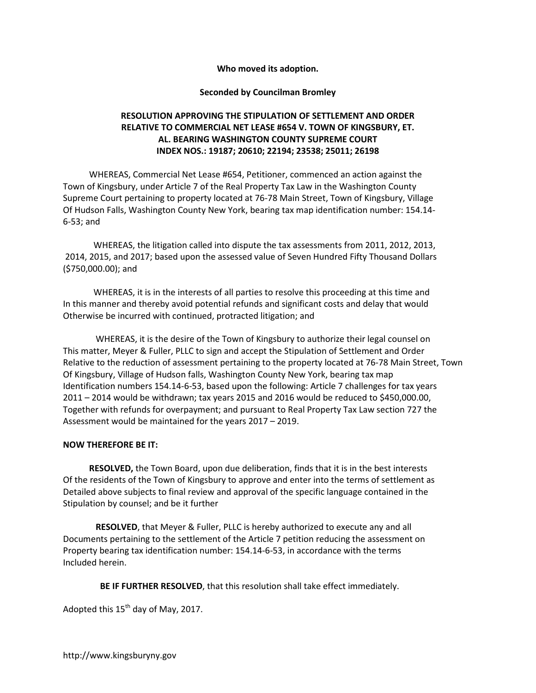**Who moved its adoption.** 

**Seconded by Councilman Bromley** 

# **RESOLUTION APPROVING THE STIPULATION OF SETTLEMENT AND ORDER RELATIVE TO COMMERCIAL NET LEASE #654 V. TOWN OF KINGSBURY, ET. AL. BEARING WASHINGTON COUNTY SUPREME COURT INDEX NOS.: 19187; 20610; 22194; 23538; 25011; 26198**

 WHEREAS, Commercial Net Lease #654, Petitioner, commenced an action against the Town of Kingsbury, under Article 7 of the Real Property Tax Law in the Washington County Supreme Court pertaining to property located at 76-78 Main Street, Town of Kingsbury, Village Of Hudson Falls, Washington County New York, bearing tax map identification number: 154.14- 6-53; and

 WHEREAS, the litigation called into dispute the tax assessments from 2011, 2012, 2013, 2014, 2015, and 2017; based upon the assessed value of Seven Hundred Fifty Thousand Dollars (\$750,000.00); and

 WHEREAS, it is in the interests of all parties to resolve this proceeding at this time and In this manner and thereby avoid potential refunds and significant costs and delay that would Otherwise be incurred with continued, protracted litigation; and

 WHEREAS, it is the desire of the Town of Kingsbury to authorize their legal counsel on This matter, Meyer & Fuller, PLLC to sign and accept the Stipulation of Settlement and Order Relative to the reduction of assessment pertaining to the property located at 76-78 Main Street, Town Of Kingsbury, Village of Hudson falls, Washington County New York, bearing tax map Identification numbers 154.14-6-53, based upon the following: Article 7 challenges for tax years 2011 – 2014 would be withdrawn; tax years 2015 and 2016 would be reduced to \$450,000.00, Together with refunds for overpayment; and pursuant to Real Property Tax Law section 727 the Assessment would be maintained for the years 2017 – 2019.

### **NOW THEREFORE BE IT:**

 **RESOLVED,** the Town Board, upon due deliberation, finds that it is in the best interests Of the residents of the Town of Kingsbury to approve and enter into the terms of settlement as Detailed above subjects to final review and approval of the specific language contained in the Stipulation by counsel; and be it further

 **RESOLVED**, that Meyer & Fuller, PLLC is hereby authorized to execute any and all Documents pertaining to the settlement of the Article 7 petition reducing the assessment on Property bearing tax identification number: 154.14-6-53, in accordance with the terms Included herein.

**BE IF FURTHER RESOLVED**, that this resolution shall take effect immediately.

Adopted this  $15<sup>th</sup>$  day of May, 2017.